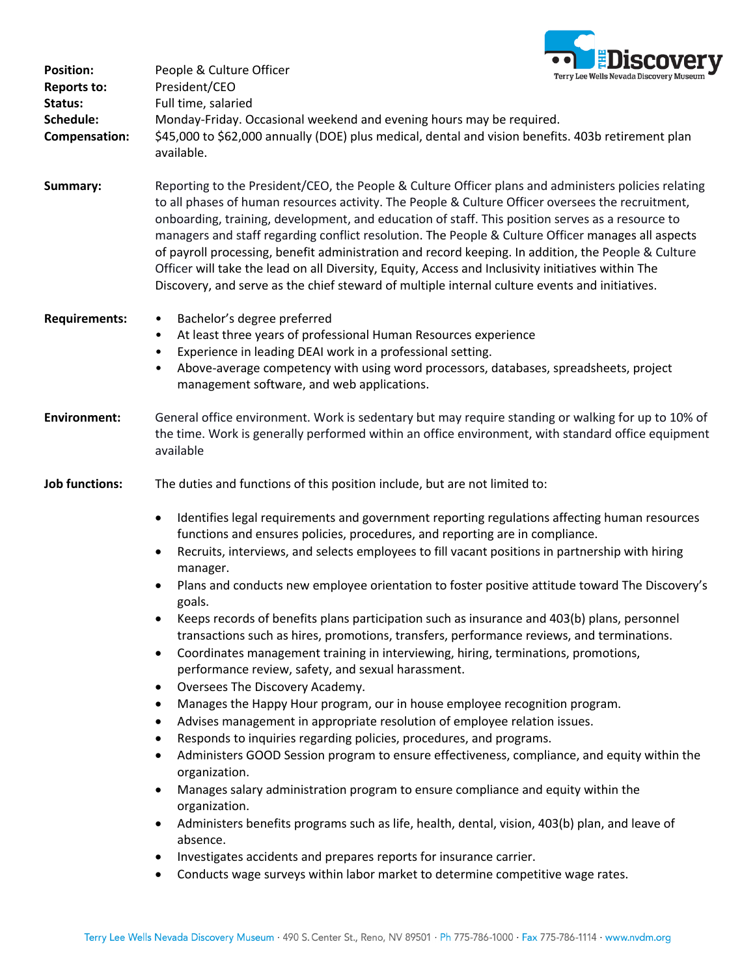

| <b>Position:</b><br><b>Reports to:</b> | People & Culture Officer<br>President/CEO                                                                                                                                                                                                                                                                                                                                                                                                                                                                                                                                                                                                                                                                                          | <u>ENISCOACI</u><br>Terry Lee Wells Nevada Discovery Museum                                                                                                                                                                                                                    |
|----------------------------------------|------------------------------------------------------------------------------------------------------------------------------------------------------------------------------------------------------------------------------------------------------------------------------------------------------------------------------------------------------------------------------------------------------------------------------------------------------------------------------------------------------------------------------------------------------------------------------------------------------------------------------------------------------------------------------------------------------------------------------------|--------------------------------------------------------------------------------------------------------------------------------------------------------------------------------------------------------------------------------------------------------------------------------|
| Status:<br>Schedule:<br>Compensation:  | Full time, salaried<br>Monday-Friday. Occasional weekend and evening hours may be required.<br>\$45,000 to \$62,000 annually (DOE) plus medical, dental and vision benefits. 403b retirement plan                                                                                                                                                                                                                                                                                                                                                                                                                                                                                                                                  |                                                                                                                                                                                                                                                                                |
|                                        | available.                                                                                                                                                                                                                                                                                                                                                                                                                                                                                                                                                                                                                                                                                                                         |                                                                                                                                                                                                                                                                                |
| Summary:                               | Reporting to the President/CEO, the People & Culture Officer plans and administers policies relating<br>to all phases of human resources activity. The People & Culture Officer oversees the recruitment,<br>onboarding, training, development, and education of staff. This position serves as a resource to<br>managers and staff regarding conflict resolution. The People & Culture Officer manages all aspects<br>of payroll processing, benefit administration and record keeping. In addition, the People & Culture<br>Officer will take the lead on all Diversity, Equity, Access and Inclusivity initiatives within The<br>Discovery, and serve as the chief steward of multiple internal culture events and initiatives. |                                                                                                                                                                                                                                                                                |
| <b>Requirements:</b>                   | Bachelor's degree preferred<br>$\bullet$                                                                                                                                                                                                                                                                                                                                                                                                                                                                                                                                                                                                                                                                                           |                                                                                                                                                                                                                                                                                |
|                                        | At least three years of professional Human Resources experience<br>$\bullet$<br>Experience in leading DEAI work in a professional setting.                                                                                                                                                                                                                                                                                                                                                                                                                                                                                                                                                                                         |                                                                                                                                                                                                                                                                                |
|                                        | ٠<br>management software, and web applications.                                                                                                                                                                                                                                                                                                                                                                                                                                                                                                                                                                                                                                                                                    | Above-average competency with using word processors, databases, spreadsheets, project                                                                                                                                                                                          |
| <b>Environment:</b>                    | General office environment. Work is sedentary but may require standing or walking for up to 10% of<br>the time. Work is generally performed within an office environment, with standard office equipment<br>available                                                                                                                                                                                                                                                                                                                                                                                                                                                                                                              |                                                                                                                                                                                                                                                                                |
| <b>Job functions:</b>                  | The duties and functions of this position include, but are not limited to:                                                                                                                                                                                                                                                                                                                                                                                                                                                                                                                                                                                                                                                         |                                                                                                                                                                                                                                                                                |
|                                        | functions and ensures policies, procedures, and reporting are in compliance.                                                                                                                                                                                                                                                                                                                                                                                                                                                                                                                                                                                                                                                       | Identifies legal requirements and government reporting regulations affecting human resources                                                                                                                                                                                   |
|                                        | ٠<br>manager.                                                                                                                                                                                                                                                                                                                                                                                                                                                                                                                                                                                                                                                                                                                      | Recruits, interviews, and selects employees to fill vacant positions in partnership with hiring                                                                                                                                                                                |
|                                        | goals.                                                                                                                                                                                                                                                                                                                                                                                                                                                                                                                                                                                                                                                                                                                             | Plans and conducts new employee orientation to foster positive attitude toward The Discovery's                                                                                                                                                                                 |
|                                        | $\bullet$                                                                                                                                                                                                                                                                                                                                                                                                                                                                                                                                                                                                                                                                                                                          | Keeps records of benefits plans participation such as insurance and 403(b) plans, personnel<br>transactions such as hires, promotions, transfers, performance reviews, and terminations.<br>Coordinates management training in interviewing, hiring, terminations, promotions, |
|                                        | performance review, safety, and sexual harassment.<br>Oversees The Discovery Academy.<br>$\bullet$                                                                                                                                                                                                                                                                                                                                                                                                                                                                                                                                                                                                                                 |                                                                                                                                                                                                                                                                                |
|                                        | Manages the Happy Hour program, our in house employee recognition program.<br>٠                                                                                                                                                                                                                                                                                                                                                                                                                                                                                                                                                                                                                                                    |                                                                                                                                                                                                                                                                                |
|                                        | Advises management in appropriate resolution of employee relation issues.<br>٠                                                                                                                                                                                                                                                                                                                                                                                                                                                                                                                                                                                                                                                     |                                                                                                                                                                                                                                                                                |
|                                        | Responds to inquiries regarding policies, procedures, and programs.<br>$\bullet$<br>Administers GOOD Session program to ensure effectiveness, compliance, and equity within the                                                                                                                                                                                                                                                                                                                                                                                                                                                                                                                                                    |                                                                                                                                                                                                                                                                                |
|                                        | ٠<br>organization.                                                                                                                                                                                                                                                                                                                                                                                                                                                                                                                                                                                                                                                                                                                 |                                                                                                                                                                                                                                                                                |
|                                        | $\bullet$<br>organization.                                                                                                                                                                                                                                                                                                                                                                                                                                                                                                                                                                                                                                                                                                         | Manages salary administration program to ensure compliance and equity within the                                                                                                                                                                                               |
|                                        | ٠<br>absence.                                                                                                                                                                                                                                                                                                                                                                                                                                                                                                                                                                                                                                                                                                                      | Administers benefits programs such as life, health, dental, vision, 403(b) plan, and leave of                                                                                                                                                                                  |
|                                        | Investigates accidents and prepares reports for insurance carrier.                                                                                                                                                                                                                                                                                                                                                                                                                                                                                                                                                                                                                                                                 | Conducts wage surveys within labor market to determine competitive wage rates.                                                                                                                                                                                                 |
|                                        |                                                                                                                                                                                                                                                                                                                                                                                                                                                                                                                                                                                                                                                                                                                                    |                                                                                                                                                                                                                                                                                |